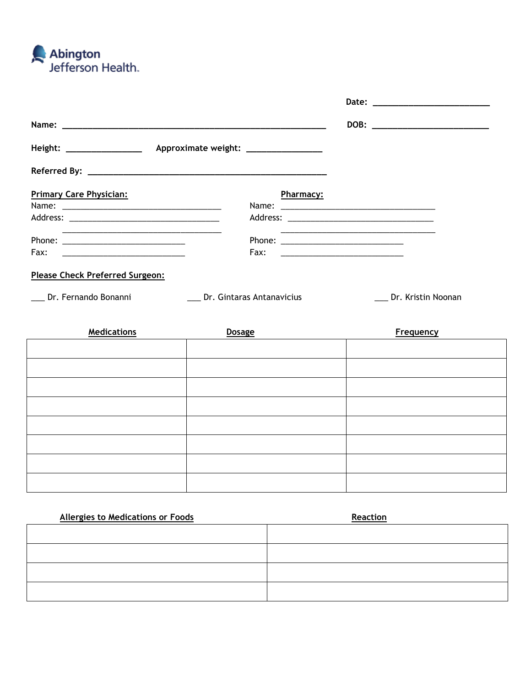

| <b>Primary Care Physician:</b>                                    | <b>Pharmacy:</b>          |                                                                                                                      |                    |
|-------------------------------------------------------------------|---------------------------|----------------------------------------------------------------------------------------------------------------------|--------------------|
|                                                                   |                           |                                                                                                                      |                    |
|                                                                   |                           |                                                                                                                      |                    |
| <u> 1999 - Johann John Stone, Amerikaansk politiker (</u> † 1908) |                           | <u> 2000 - Jan James James Jan James James James James James James James James James James James James James Jam</u> |                    |
|                                                                   |                           |                                                                                                                      |                    |
| Please Check Preferred Surgeon:                                   |                           |                                                                                                                      |                    |
| Dr. Fernando Bonanni                                              | Dr. Gintaras Antanavicius |                                                                                                                      | Dr. Kristin Noonan |
|                                                                   |                           |                                                                                                                      |                    |

| <b>Medications</b> | <b>Dosage</b> | <b>Frequency</b> |
|--------------------|---------------|------------------|
|                    |               |                  |
|                    |               |                  |
|                    |               |                  |
|                    |               |                  |
|                    |               |                  |
|                    |               |                  |
|                    |               |                  |
|                    |               |                  |

| <b>Allergies to Medications or Foods</b> | Reaction |
|------------------------------------------|----------|
|                                          |          |
|                                          |          |
|                                          |          |
|                                          |          |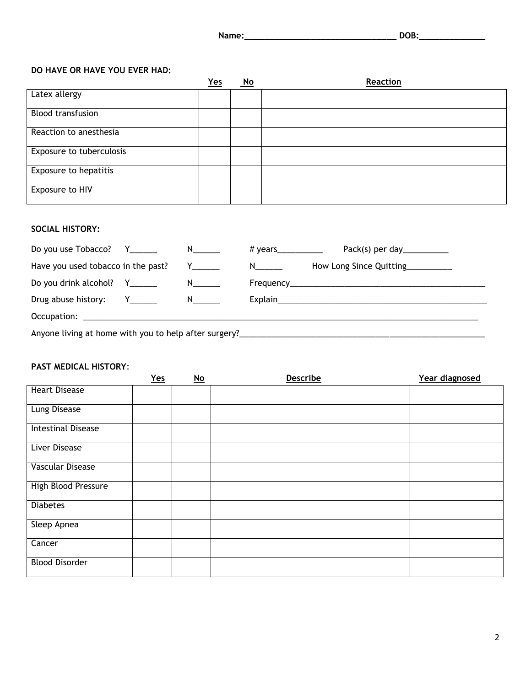| Name: | $- - -$ |
|-------|---------|
|       |         |
|       |         |

#### **DO HAVE OR HAVE YOU EVER HAD:**

|                              | $Yes$ | <u>No</u> | Reaction |
|------------------------------|-------|-----------|----------|
| Latex allergy                |       |           |          |
| <b>Blood transfusion</b>     |       |           |          |
| Reaction to anesthesia       |       |           |          |
| Exposure to tuberculosis     |       |           |          |
| <b>Exposure to hepatitis</b> |       |           |          |
| Exposure to HIV              |       |           |          |

### **SOCIAL HISTORY:**

|                                    |     | # years___________ |  | Pack(s) per day _______________  |  |
|------------------------------------|-----|--------------------|--|----------------------------------|--|
| Have you used tobacco in the past? | Y N |                    |  | How Long Since Quitting_________ |  |
|                                    |     |                    |  |                                  |  |
|                                    |     |                    |  |                                  |  |
|                                    |     |                    |  |                                  |  |
|                                    |     |                    |  |                                  |  |

#### **PAST MEDICAL HISTORY**:

|                           | $Yes$ | $\underline{\mathsf{No}}$ | Describe | Year diagnosed |
|---------------------------|-------|---------------------------|----------|----------------|
| <b>Heart Disease</b>      |       |                           |          |                |
| <b>Lung Disease</b>       |       |                           |          |                |
| <b>Intestinal Disease</b> |       |                           |          |                |
| <b>Liver Disease</b>      |       |                           |          |                |
| Vascular Disease          |       |                           |          |                |
| High Blood Pressure       |       |                           |          |                |
| <b>Diabetes</b>           |       |                           |          |                |
| Sleep Apnea               |       |                           |          |                |
| Cancer                    |       |                           |          |                |
| <b>Blood Disorder</b>     |       |                           |          |                |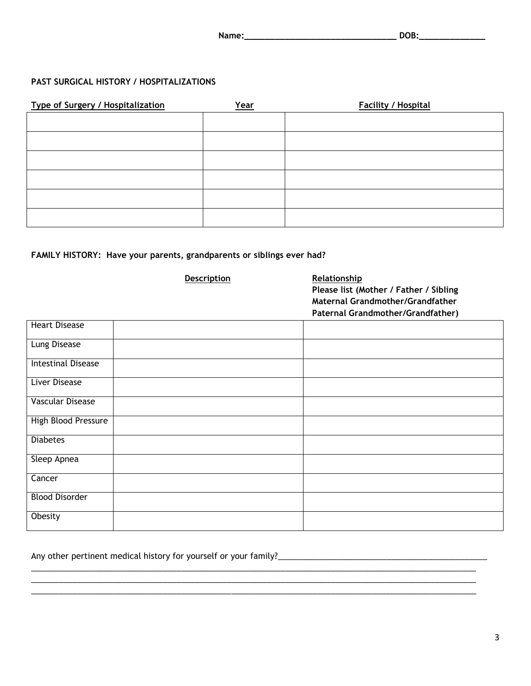| Name:<br>________<br>____________ |
|-----------------------------------|
|-----------------------------------|

## **PAST SURGICAL HISTORY / HOSPITALIZATIONS**

| <b>Type of Surgery / Hospitalization</b> | <u>Year</u> | <b>Facility / Hospital</b> |
|------------------------------------------|-------------|----------------------------|
|                                          |             |                            |
|                                          |             |                            |
|                                          |             |                            |
|                                          |             |                            |
|                                          |             |                            |
|                                          |             |                            |

# **FAMILY HISTORY: Have your parents, grandparents or siblings ever had?**

|                           | <b>Description</b> | Relationship<br>Please list (Mother / Father / Sibling<br>Maternal Grandmother/Grandfather<br>Paternal Grandmother/Grandfather) |
|---------------------------|--------------------|---------------------------------------------------------------------------------------------------------------------------------|
| <b>Heart Disease</b>      |                    |                                                                                                                                 |
| Lung Disease              |                    |                                                                                                                                 |
| <b>Intestinal Disease</b> |                    |                                                                                                                                 |
| <b>Liver Disease</b>      |                    |                                                                                                                                 |
| <b>Vascular Disease</b>   |                    |                                                                                                                                 |
| High Blood Pressure       |                    |                                                                                                                                 |
| <b>Diabetes</b>           |                    |                                                                                                                                 |
| Sleep Apnea               |                    |                                                                                                                                 |
| Cancer                    |                    |                                                                                                                                 |
| <b>Blood Disorder</b>     |                    |                                                                                                                                 |
| Obesity                   |                    |                                                                                                                                 |

 $\overline{\phantom{a}}$  ,  $\overline{\phantom{a}}$  ,  $\overline{\phantom{a}}$  ,  $\overline{\phantom{a}}$  ,  $\overline{\phantom{a}}$  ,  $\overline{\phantom{a}}$  ,  $\overline{\phantom{a}}$  ,  $\overline{\phantom{a}}$  ,  $\overline{\phantom{a}}$  ,  $\overline{\phantom{a}}$  ,  $\overline{\phantom{a}}$  ,  $\overline{\phantom{a}}$  ,  $\overline{\phantom{a}}$  ,  $\overline{\phantom{a}}$  ,  $\overline{\phantom{a}}$  ,  $\overline{\phantom{a}}$  $\overline{\phantom{a}}$  ,  $\overline{\phantom{a}}$  ,  $\overline{\phantom{a}}$  ,  $\overline{\phantom{a}}$  ,  $\overline{\phantom{a}}$  ,  $\overline{\phantom{a}}$  ,  $\overline{\phantom{a}}$  ,  $\overline{\phantom{a}}$  ,  $\overline{\phantom{a}}$  ,  $\overline{\phantom{a}}$  ,  $\overline{\phantom{a}}$  ,  $\overline{\phantom{a}}$  ,  $\overline{\phantom{a}}$  ,  $\overline{\phantom{a}}$  ,  $\overline{\phantom{a}}$  ,  $\overline{\phantom{a}}$ 

| Any other pertinent medical history for yourself or your family? |
|------------------------------------------------------------------|
|------------------------------------------------------------------|

\_\_\_\_\_\_\_\_\_\_\_\_\_\_\_\_\_\_\_\_\_\_\_\_\_\_\_\_\_\_\_\_\_\_\_\_\_\_\_\_\_\_\_\_\_\_\_\_\_\_\_\_\_\_\_\_\_\_\_\_\_\_\_\_\_\_\_\_\_\_\_\_\_\_\_\_\_\_\_\_\_\_\_\_\_\_\_\_\_\_\_\_\_\_\_\_\_\_